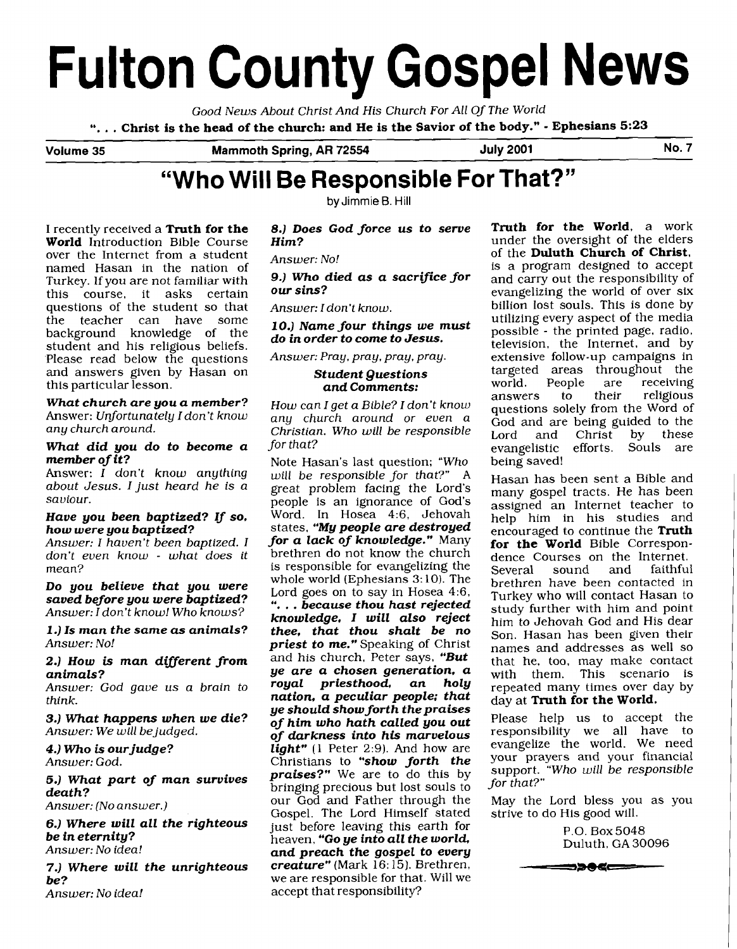# **Fulton County Gospel News**

*Good News About Christ And His Church For All Of The World* 

". . . *Christ is the head of the church: and He is the Savior of the body."* - *Ephesians* **5:23** 

Volume 35 Mammoth Spring, AR 72554 July 2001 No. 7

# **"Who Will Be Responsible For That?"**

 $by$  Jimmie **B**. Hill

I recently received a *Truth for the World* Introduction Bible Course over the Internet from a student named Hasan in the nation of Turkey. If you are not familiar with this course, it asks certain questions of the student so that the teacher can have some background knowledge of the student and his religious beliefs. Please read below the questions and answers given by Hasan on this particular lesson.

*What church are you a member?*  Answer: *Unfortunately I don't know any church around.* 

#### *What did you do to become a member of it?*

Answer: *I don't know anything about Jesus. I just heard he is a saviour.* 

#### *Have you been baptized?* **If** *so, how were you baptized?*

*Answer: I haven't been baptized. I don't even know* - *what does it mean?* 

*Do you believe that you were saved before you were baptized? Answer: I don't know! Who knows?* 

*<sup>1</sup>*.) *Is man the same* **as** *animals? Answer: No!* 

**2.)** *How* **is** *man different from animals?* 

*Answer: God gave us a brain to think.* 

*3.) What happens when we die? Answer: We will bejudged.* 

**4.)** *Who* **is** *ourjudge? Answer: God.* 

*5.) What part of man survives death?* 

*Answer: (No answer.)* 

*6.) Where will all the righteous be in eternity? Answer: No idea!* 

**7.**) Where will the unrighteous be? **be?** we are responsible for that. Will we are responsible for that. Will we are responsible for that.

*8.) Does God force us to serve Him?* 

*Answer: No!* 

**9.)** *Who died as a sacriJice for our sins?* 

*Answer: I don't know.* 

*10.) Name four things we must do in order to come to Jesus.* 

*Answec Pray, pray, pray, pray.* 

#### *Student Questions and Comments:*

*How can I get a Bible? I don't know any church around or even a Christian. Who will be responsible for that?* 

Note Hasan's last question; *"Who will be responsible for that?" A*  great problem facing the Lord's people is an ignorance of God's Word. In Hosea 4:6, Jehovah states, *"My people are destroyed for a lack of knowledge."* Many brethren do not know the church is responsible for evangelizing the whole world (Ephesians 3:10). The Lord goes on to say in Hosea 4:6, Lord goes on to say in Hosea 4:6. ". . . *because thou hast rejected knowledge, I will also reject thee, that thou shalt be no priest to me."* Speaking of Christ and his church, Peter says, *"But ye are a chosen generation, a royal priesthood, an holy nation, a peculiar people; that ye should show forth thepraises of him who hath called you out of darkness into* **his** *marvelous*  light" (1 Peter 2:9). And how are Christians to *"show forth the praises?"* We are to do this by bringing precious but lost souls to our God and Father through the Gospel. The Lord Himself stated just before leaving this earth for heaven, **"Go ye into all the world**, *and preach the gospel to every*  accept that responsibility?

*Truth for the World,* a work under the oversight of the elders of the *Duluth Church of Christ,*  is a program designed to accept and carry out the responsibility of evangelizing the world of over six billion lost souls. This is done by utilizing every aspect of the media possible - the printed page, radio, television, the Internet, and by extensive follow-up campaigns in targeted areas throughout the<br>world. People are receiving ople are receiving.<br>to their religious answers to their religious questions solely from the Word of God and are being guided to the<br>Lord and Christ by these Christ by these<br>efforts. Souls are evangelistic being saved!

Hasan has been sent a Bible and many gospel tracts. He has been assigned an Internet teacher to help him in his studies and encouraged to continue the *Truth for the World* Bible Correspondence Courses on the Internet.<br>Several sound and faithful  $\boldsymbol{\mathsf{sound}}$ brethren have been contacted in Turkey who will contact Hasan to study further with him and point him to Jehovah God and His dear Son. Hasan has been given their names and addresses as well so that he, too, may make contact with them. This scenario is repeated many times over day by day at *Truth for the World.* 

Please help us to accept the responsibility we all have to evangelize the world. We need your prayers and your financial support. *"Who will be responsible for that?"* 

May the Lord bless you as you strive to do His good will.

> P.O. Box5048 Duluth. GA 30096

<del>- = ⊃>0</del> < = = = −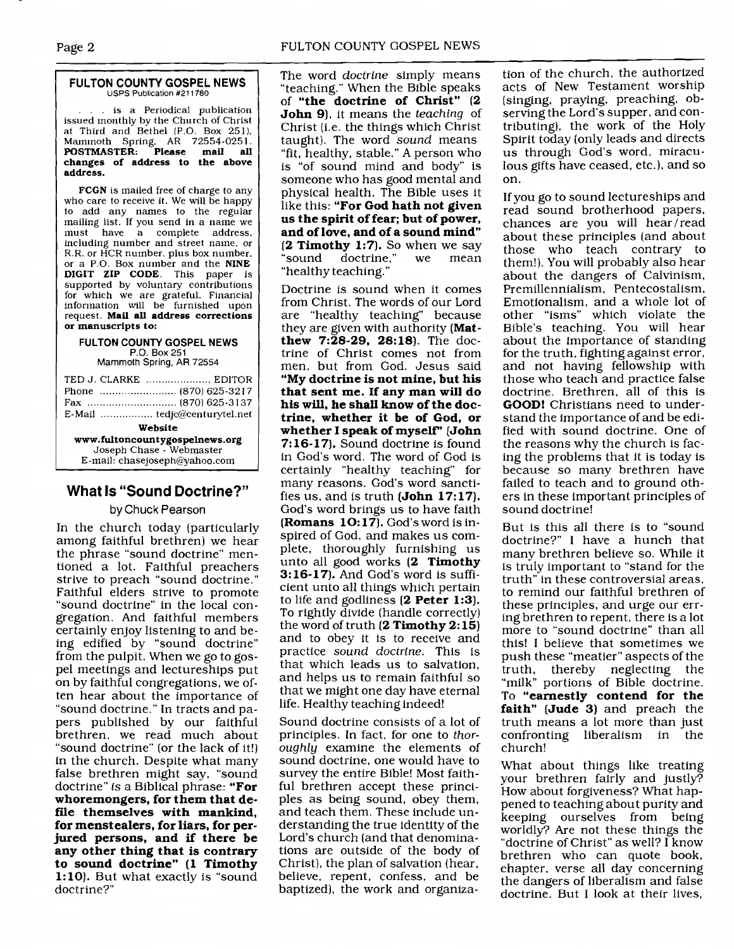-- -- ~

#### **FULTON COUNTY GOSPEL NEWS** USPS Publication **#211780**

... is a Periodical publication issued monthly by the Church of Christ at Third and Bethel (P.O. Box 251), Marninoth Spring. AR 72554-025 1. **POSTMASTER: Please mail all changes of address to the above address.** 

**FCGN** is mailed free of charge to any who care to receive it. We will be happy to add any names to the regular mailing list. If you send in a name we<br>must have a complete address. have a complete address, including number and street name. or R.R. or HCR number, plus box number. or a P.O. Box number and the **NINE DIGIT ZIP CODE.** This paper is supported by voluntary contributions for which we are grateful. Financial information will be furnished upon request. **Mail all address corrections or manuscripts to:** 

#### **FULTON COUNTY GOSPEL NEWS P.O.** Box 251

Mammoth Spring, **AR** 72554

| TED J. CLARKE  EDITOR                                                                       |  |  |
|---------------------------------------------------------------------------------------------|--|--|
|                                                                                             |  |  |
| Website                                                                                     |  |  |
| www.fultoncountygospelnews.org<br>Joseph Chase - Webmaster<br>E-mail: chasejoseph@yahoo.com |  |  |

# **What Is "Sound Doctrine?"**

# **by** Chuck Pearson

In the church today (particularly among faithful brethren) we hear the phrase "sound doctrine" mentioned a lot. Faithful preachers strive to preach "sound doctrine." Faithful elders strive to promote "sound doctrine" in the local congregation. And faithful members certainly enjoy listening to and being edified by "sound doctrine" from the pulpit. When we go to gospel meetings and lectureships put on by faithful congregations, we often hear about the importance of "sound doctrine." In tracts and papers published by our faithful brethren, we read much about "sound doctrine" (or the lack of it!) in the church. Despite what many false brethren might say, "sound doctrine" *is* a Biblical phrase: **"For whoremongers, for them that de**file themselves with mankind, **for menstealers, for liars, for perjured persons, and if there be any other thing that is contrary to sound doctrine" (1 Timothy 1:lO).** But what exactly is "sound doctrine?"

The word *doctrine* simply means "teaching." When the Bible speaks of **"the doctrine of Christ" (2 John 91,** it means the *teaching* of Christ (i.e. the things which Christ taught). The word *sound* means "fit, healthy, stable." A person who is "of sound mind and body" is someone who has good mental and physical health. The Bible uses it like this: **"For God hath not given us the spirit of fear; but of power, and of love, and of a sound mind" (2 Timothy 1:7].** So when we say doctrine." "healthy teaching."

Doctrine is sound when it comes from Christ. The words of our Lord are "healthy teaching" because they are given with authority **(Matthew 7:28-29, 28:18).** The doctrine of Christ comes not from men, but from God. Jesus said **"My doctrine is not mine, but his that sent me. If any man will do his will, he shall know of the doctrine, whether it be of God, or whether I speak of myself' [John 7: 16-17].** Sound doctrine is found in God's word. The word of God is certainly "healthy teaching" for many reasons. God's word sanctifies us, and is truth **(John 17: 17).**  God's word brings us to have faith **(Romans 10: 17).** God's word is inspired of God, and makes us complete, thoroughly furnishing us unto all good works **(2 Timothy 3:16-17).** And God's word is sufficient unto all things which pertain to life and godliness **(2 Peter 1:3).**  To rightly divide (handle correctly) the word of truth **(2 Timothy 2: 15)**  and to obey it is to receive and practice *sound doctrine.* This is that which leads us to salvation, and helps us to remain faithful so that we might one day have eternal life. Healthy teaching indeed!

Sound doctrine consists of a lot of principles. In fact, for one to *thoroughly* examine the elements of sound doctrine, one would have to survey the entire Bible! Most faithful brethren accept these principles as being sound, obey them, and teach them. These include understanding the true identity of the Lord's church (and that denominations are outside of the body of Christ), the plan of salvation (hear, believe, repent, confess, and be baptized), the work and organization of the church, the authorized acts of New Testament worship (singing. praying, preaching, observing the Lord's supper, and contributing), the work of the Holy Spirit today (only leads and directs us through God's word, miraculous gifts have ceased, etc.), and so on.

If you go to sound lectureships and read sound brotherhood papers, chances are you will hear/read about these principles (and about those who teach contrary to them!). You will probably also hear about the dangers of Calvinism, Premillennialism, Pentecostalism, Emotionalism, and a whole lot of other "isms" which violate the Bible's teaching. You will hear about the importance of standing for the truth, fightingagainst error, and not having fellowship with those who teach and practice false doctrine. Brethren, all of this is **GOOD!** Christians need to understand the importance of and be edified with sound doctrine. One of the reasons why the church is facing the problems that it is today is because so many brethren have failed to teach and to ground others in these important principles of sound doctrine!

But is this all there is to "sound doctrine?" I have a hunch that many brethren believe so. While it is truly important to "stand for the truth" in these controversial areas, to remind our faithful brethren of these principles, and urge our erring brethren to repent, there is a lot more to "sound doctrine" than all this! I believe that sometimes we push these "meatier" aspects of the truth, thereby neglecting the "milk" portions of Bible doctrine. To **"earnestly contend for the faith" [Jude 3)** and preach the truth means a lot more than just confronting liberalism in church!

What about things like treating your brethren fairly and justly? How about forgiveness? What happened to teaching about purity and keeping ourselves from being worldly? Are not these things the "doctrine of Christ" as well? I know brethren who can quote book, chapter, verse all day concerning the dangers of liberalism and false doctrine. But I look at their lives,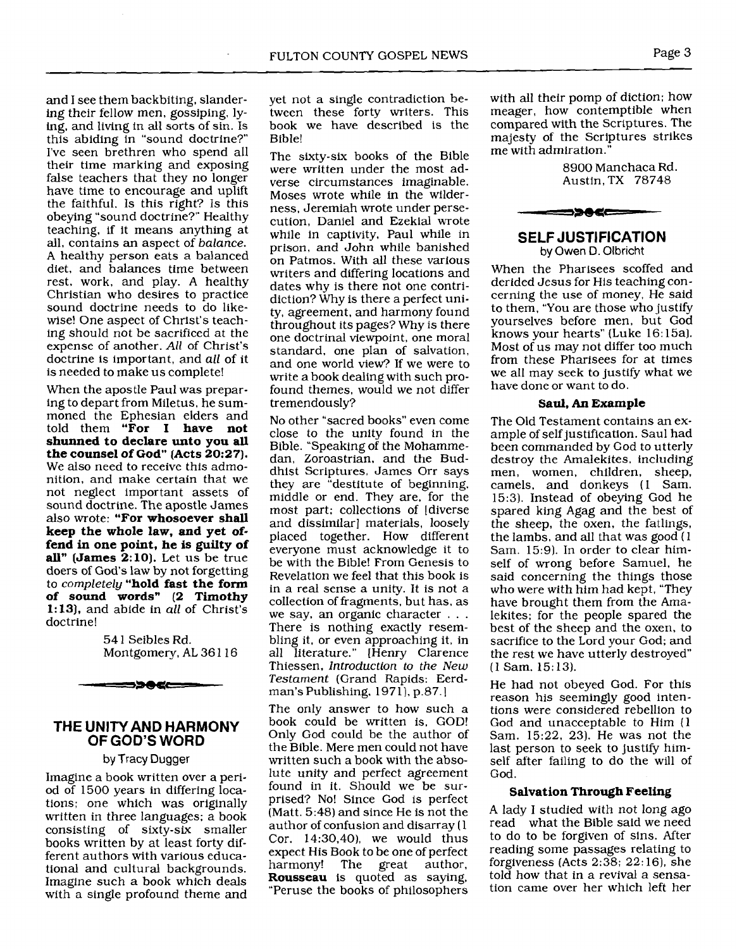and I see them backbiting, slandering their fellow men, gossiping, lying, and living in all sorts of sin. Is this abiding in "sound doctrine?" I've seen brethren who spend all their time marking and exposing false teachers that they no longer have time to encourage and uplift the faithful. Is this right? Is this obeying "sound doctrine?" Healthy teaching, if it means anything at all, contains an aspect of balance. **A** healthy person eats a balanced diet, and balances time between rest, work, and play. A healthy Christian who desires to practice sound doctrine needs to do likewise! One aspect of Christ's teaching should not be sacrificed at the expense of another. All of Christ's doctrine is important, and all of it is needed to make us complete!

When the apostle Paul was preparing to depart from Miletus, he summoned the Ephesian elders and told them **"For** I **have not shunned to declare unto you all the counsel of God" (Acts 20:27).**  We also need to receive this admonition, and make certain that we not neglect important assets of sound doctrine. The apostle James also wrote: **"For whosoever shall keep the whole law, and yet offend in one point, he is guilty of all" [James 2:lO).** Let us be true doers of God's law by not forgetting to completely **"hold fast the form of sound words" (2 Timothy 1: 13).** and abide in all of Christ's doctrine!

> 54 1 Seibles Rd. Montgomery, AL 36 1 16



## **THE UNITY AND HARMONY OF GOD'S WORD**

#### by Tracy Dugger

Imagine a book written over a period of 1500 years in differing locations: one which was originally written in three languages; a book consisting of sixty-six smaller books written by at least forty different authors with various educational and cultural backgrounds. Imagine such a book which deals with a single profound theme and yet not a single contradiction between these forty writers. This book we have described is the Bible!

The sixty-six books of the Bible were written under the most adverse circumstances imaginable. Moses wrote while in the wilderness, Jeremiah wrote under persecution, Daniel and Ezekial wrote while in captivity, Paul while in prison, and John while banished on Patmos. With all these various writers and differing locations and dates why is there not one contridiction? Why is there a perfect unity, agreement, and harmony found throughout its pages? Why is there one doctrinal viewpoint, one moral standard, one plan of salvation, and one world view? If we were to write a book dealing with such profound themes, would we not differ tremendously?

No other "sacred books" even come close to the unity found in the Bible. "Speaking of the Mohammedan, Zoroastrian, and the Buddhist Scriptures, James Orr says they are "destitute of beginning, middle or end. They are, for the most part; collections of ldiverse and dissimilar] materials, loosely placed together. How different everyone must acknowledge it to be with the Bible! From Genesis to Revelation we feel that this book is in a real sense a unity. It is not a collection of fragments, but has, as<br>we say, an organic character . . . There is nothing exactly resembling it, or even approaching it, in all literature." [Henry Clarence Thiessen, *Introduction* to the New Testament (Grand Rapids: Eerdman's Publishing. 1971), p.87.

The only answer to how such a book could be written is, GOD! Only God could be the author of the Bible. Mere men could not have written such a book with the absolute unity and perfect agreement found in it. Should we be surprised? No! Since God is perfect (Matt. 5:48) and since He is not the author of confusion and disarray (1 Cor. 14:30,40), we would thus expect His Book to be one of perfect harmony! The great author, **Rousseau** is quoted as saying, "Peruse the books of philosophers

with all their pomp of diction; how meager, how contemptible when compared with the Scriptures. The majesty of the Scriptures strikes me with admiration."

> 8900 Manchaca Rd. Austin, TX 78748



**SELF JUSTIFICATION**  by **Owen D.** Olbricht

When the Pharisees scoffed and derided Jesus for His teaching concerning the use of money, He said to them. "You are those who justify yourselves before men, but God knows your hearts" (Luke 16: 15al. Most of us may not differ too much from these Pharisees for at times we all may seek to justify what we have done or want to do.

#### **Saul, An Example**

The Old Testament contains an example of self justification. Saul had been commanded by God to utterly destroy the Amalekites, including men, women, children, sheep, camels, and donkeys (1 Sam. 15:3). Instead of obeying God he spared king Agag and the best of the sheep, the oxen, the fatlings, the lambs, and all that was good  $(1)$ Sam. 15:9). In order to clear himself of wrong before Samuel, he said concerning the things those who were with him had kept, "They have brought them from the Amalekites; for the people spared the best of the sheep and the oxen, to sacrifice to the Lord your God; and the rest we have utterly destroyed" (1 Sam. 15: 13).

He had not obeyed God. For this reason his seemingly good intentions were considered rebellion to God and unacceptable to Him (1 Sam. 15:22, 23). He was not the last person to seek to justify himself after failing to do the will of God.

#### **Salvation Through Feeling**

A lady I studied with not long ago read what the Bible said we need to do to be forgiven of sins. After reading some passages relating to forgiveness (Acts 2:38; 22: 16), she told how that in a revival a sensation came over her which left her